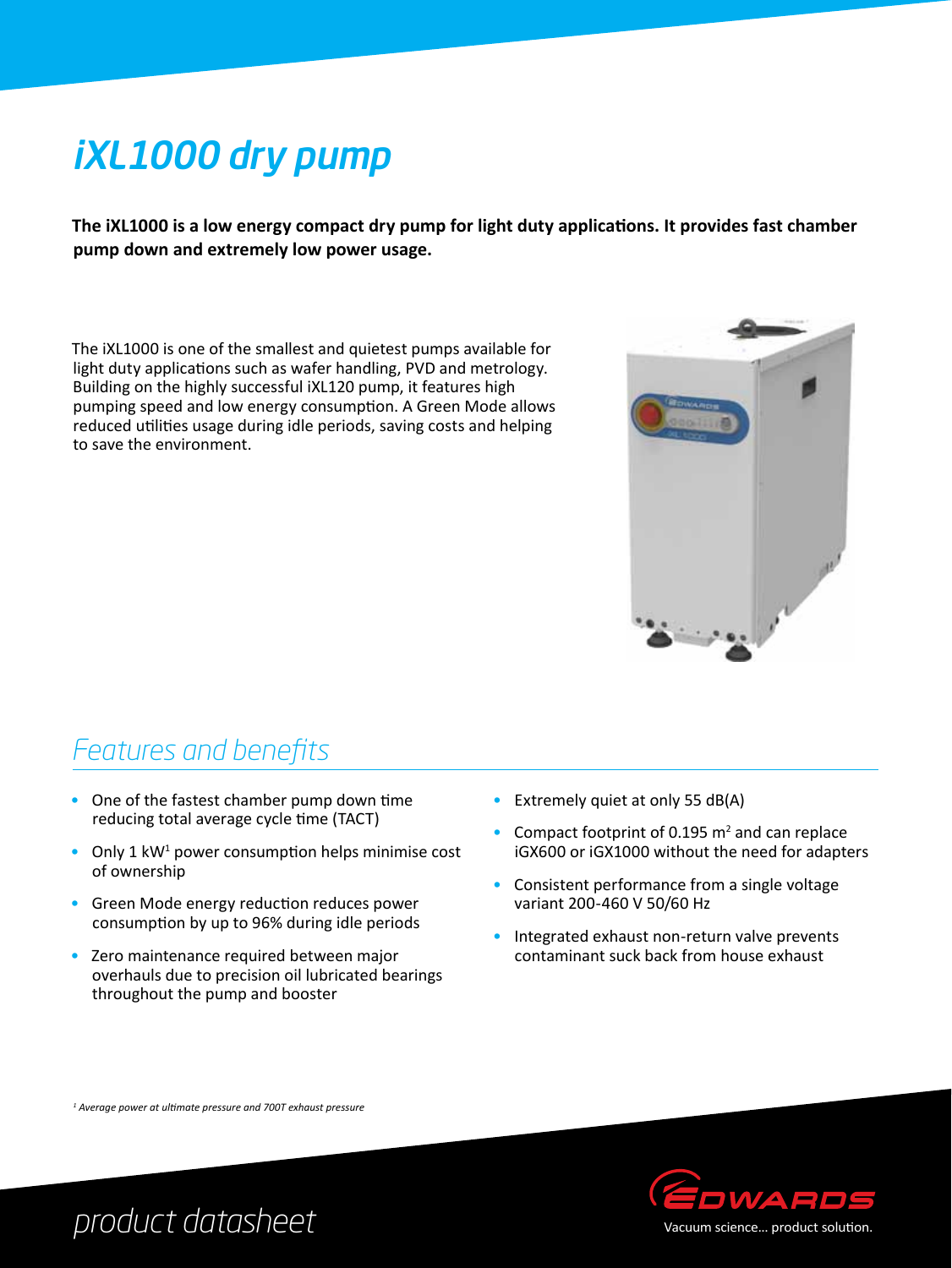# iXL1000 dry pump

**The iXL1000 is a low energy compact dry pump for light duty applications. It provides fast chamber pump down and extremely low power usage.**

The iXL1000 is one of the smallest and quietest pumps available for light duty applications such as wafer handling, PVD and metrology. Building on the highly successful iXL120 pump, it features high pumping speed and low energy consumption. A Green Mode allows reduced utilities usage during idle periods, saving costs and helping to save the environment.



### *Features and benefits*

- One of the fastest chamber pump down time reducing total average cycle time (TACT)
- Only 1  $kW<sup>1</sup>$  power consumption helps minimise cost of ownership
- Green Mode energy reduction reduces power consumption by up to 96% during idle periods
- Zero maintenance required between major overhauls due to precision oil lubricated bearings throughout the pump and booster
- Extremely quiet at only 55 dB(A)
- Compact footprint of 0.195  $m<sup>2</sup>$  and can replace iGX600 or iGX1000 without the need for adapters
- Consistent performance from a single voltage variant 200-460 V 50/60 Hz
- Integrated exhaust non-return valve prevents contaminant suck back from house exhaust

*1 Average power at ultimate pressure and 700T exhaust pressure*



*product datasheet*